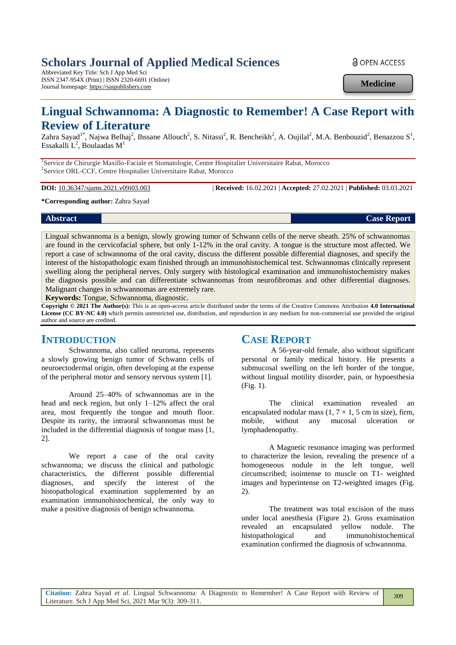# **Scholars Journal of Applied Medical Sciences**

Abbreviated Key Title: Sch J App Med Sci ISSN 2347-954X (Print) | ISSN 2320-6691 (Online) Journal homepage: https://saspublishers.com

**a** OPEN ACCESS

**Medicine**

# **Lingual Schwannoma: A Diagnostic to Remember! A Case Report with Review of Literature**

Zahra Sayad<sup>1\*</sup>, Najwa Belhaj<sup>2</sup>, Ihssane Allouch<sup>2</sup>, S. Nitassi<sup>2</sup>, R. Bencheikh<sup>2</sup>, A. Oujilal<sup>2</sup>, M.A. Benbouzid<sup>2</sup>, Benazzou S<sup>1</sup>, Essakalli  $L^2$ , Boulaadas M<sup>1</sup>

<sup>1</sup>Service de Chirurgie Maxillo-Faciale et Stomatologie, Centre Hospitalier Universitaire Rabat, Morocco 2 Service ORL-CCF, Centre Hospitalier Universitaire Rabat, Morocco

**DOI:** 10.36347/sjams.2021.v09i03.003 | **Received:** 16.02.2021 | **Accepted:** 27.02.2021 | **Published:** 03.03.2021

**\*Corresponding author:** Zahra Sayad

Lingual schwannoma is a benign, slowly growing tumor of Schwann cells of the nerve sheath. 25% of schwannomas are found in the cervicofacial sphere, but only 1-12% in the oral cavity. A tongue is the structure most affected. We report a case of schwannoma of the oral cavity, discuss the different possible differential diagnoses, and specify the interest of the histopathologic exam finished through an immunohistochemical test. Schwannomas clinically represent swelling along the peripheral nerves. Only surgery with histological examination and immunohistochemistry makes the diagnosis possible and can differentiate schwannomas from neurofibromas and other differential diagnoses. Malignant changes in schwannomas are extremely rare.

**Keywords:** Tongue, Schwannoma, diagnostic.

**Copyright © 2021 The Author(s):** This is an open-access article distributed under the terms of the Creative Commons Attribution **4.0 International License (CC BY-NC 4.0)** which permits unrestricted use, distribution, and reproduction in any medium for non-commercial use provided the original author and source are credited.

#### **INTRODUCTION**

Schwannoma, also called neuroma, represents a slowly growing benign tumor of Schwann cells of neuroectodermal origin, often developing at the expense of the peripheral motor and sensory nervous system [1].

Around 25–40% of schwannomas are in the head and neck region, but only 1–12% affect the oral area, most frequently the tongue and mouth floor. Despite its rarity, the intraoral schwannomas must be included in the differential diagnosis of tongue mass [1, 2].

We report a case of the oral cavity schwannoma; we discuss the clinical and pathologic characteristics, the different possible differential diagnoses, and specify the interest of the histopathological examination supplemented by an examination immunohistochemical, the only way to make a positive diagnosis of benign schwannoma.

### **CASE REPORT**

A 56-year-old female, also without significant personal or family medical history. He presents a submucosal swelling on the left border of the tongue, without lingual motility disorder, pain, or hypoesthesia (Fig. 1).

The clinical examination revealed an encapsulated nodular mass  $(1, 7 \times 1, 5 \text{ cm})$  in size), firm, mobile, without any mucosal ulceration or lymphadenopathy.

A Magnetic resonance imaging was performed to characterize the lesion, revealing the presence of a homogeneous nodule in the left tongue, well circumscribed; isointense to muscle on T1- weighted images and hyperintense on T2-weighted images (Fig. 2).

The treatment was total excision of the mass under local anesthesia (Figure 2). Gross examination revealed an encapsulated yellow nodule. The histopathological and immunohistochemical examination confirmed the diagnosis of schwannoma.

*Case Report* **Case Report Case Report Case Report Case Report Case Report**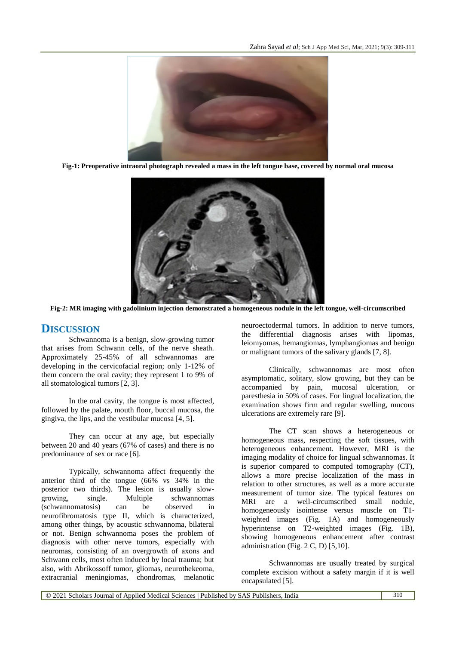

**Fig-1: Preoperative intraoral photograph revealed a mass in the left tongue base, covered by normal oral mucosa**



**Fig-2: MR imaging with gadolinium injection demonstrated a homogeneous nodule in the left tongue, well-circumscribed**

## **DISCUSSION**

Schwannoma is a benign, slow-growing tumor that arises from Schwann cells, of the nerve sheath. Approximately 25-45% of all schwannomas are developing in the cervicofacial region; only 1-12% of them concern the oral cavity; they represent 1 to 9% of all stomatological tumors [2, 3].

In the oral cavity, the tongue is most affected, followed by the palate, mouth floor, buccal mucosa, the gingiva, the lips, and the vestibular mucosa [4, 5].

They can occur at any age, but especially between 20 and 40 years (67% of cases) and there is no predominance of sex or race [6].

Typically, schwannoma affect frequently the anterior third of the tongue (66% vs 34% in the posterior two thirds). The lesion is usually slowgrowing, single. Multiple schwannomas (schwannomatosis) can be observed in neurofibromatosis type II, which is characterized, among other things, by acoustic schwannoma, bilateral or not. Benign schwannoma poses the problem of diagnosis with other nerve tumors, especially with neuromas, consisting of an overgrowth of axons and Schwann cells, most often induced by local trauma; but also, with Abrikossoff tumor, gliomas, neurothekeoma, extracranial meningiomas, chondromas, melanotic

neuroectodermal tumors. In addition to nerve tumors, the differential diagnosis arises with lipomas, leiomyomas, hemangiomas, lymphangiomas and benign or malignant tumors of the salivary glands [7, 8].

Clinically, schwannomas are most often asymptomatic, solitary, slow growing, but they can be accompanied by pain, mucosal ulceration, or paresthesia in 50% of cases. For lingual localization, the examination shows firm and regular swelling, mucous ulcerations are extremely rare [9].

The CT scan shows a heterogeneous or homogeneous mass, respecting the soft tissues, with heterogeneous enhancement. However, MRI is the imaging modality of choice for lingual schwannomas. It is superior compared to computed tomography (CT), allows a more precise localization of the mass in relation to other structures, as well as a more accurate measurement of tumor size. The typical features on MRI are a well-circumscribed small nodule, homogeneously isointense versus muscle on T1 weighted images (Fig. 1A) and homogeneously hyperintense on T2-weighted images (Fig. 1B), showing homogeneous enhancement after contrast administration (Fig. 2 C, D) [5,10].

Schwannomas are usually treated by surgical complete excision without a safety margin if it is well encapsulated [5].